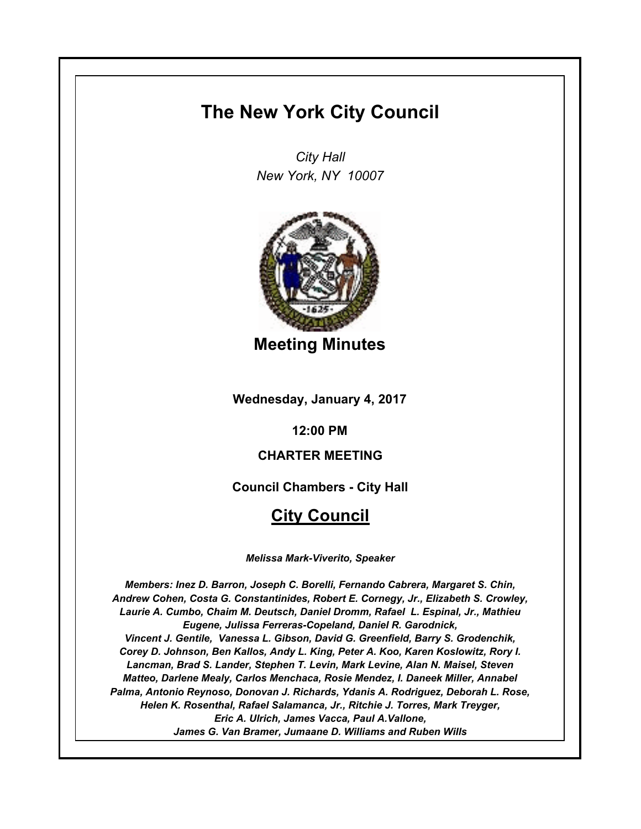# **The New York City Council**

*City Hall New York, NY 10007*



**Meeting Minutes**

**Wednesday, January 4, 2017**

**12:00 PM**

# **CHARTER MEETING**

**Council Chambers - City Hall**

# **City Council**

*Melissa Mark-Viverito, Speaker*

*Members: Inez D. Barron, Joseph C. Borelli, Fernando Cabrera, Margaret S. Chin, Andrew Cohen, Costa G. Constantinides, Robert E. Cornegy, Jr., Elizabeth S. Crowley, Laurie A. Cumbo, Chaim M. Deutsch, Daniel Dromm, Rafael L. Espinal, Jr., Mathieu Eugene, Julissa Ferreras-Copeland, Daniel R. Garodnick, Vincent J. Gentile, Vanessa L. Gibson, David G. Greenfield, Barry S. Grodenchik, Corey D. Johnson, Ben Kallos, Andy L. King, Peter A. Koo, Karen Koslowitz, Rory I. Lancman, Brad S. Lander, Stephen T. Levin, Mark Levine, Alan N. Maisel, Steven Matteo, Darlene Mealy, Carlos Menchaca, Rosie Mendez, I. Daneek Miller, Annabel Palma, Antonio Reynoso, Donovan J. Richards, Ydanis A. Rodriguez, Deborah L. Rose, Helen K. Rosenthal, Rafael Salamanca, Jr., Ritchie J. Torres, Mark Treyger, Eric A. Ulrich, James Vacca, Paul A.Vallone, James G. Van Bramer, Jumaane D. Williams and Ruben Wills*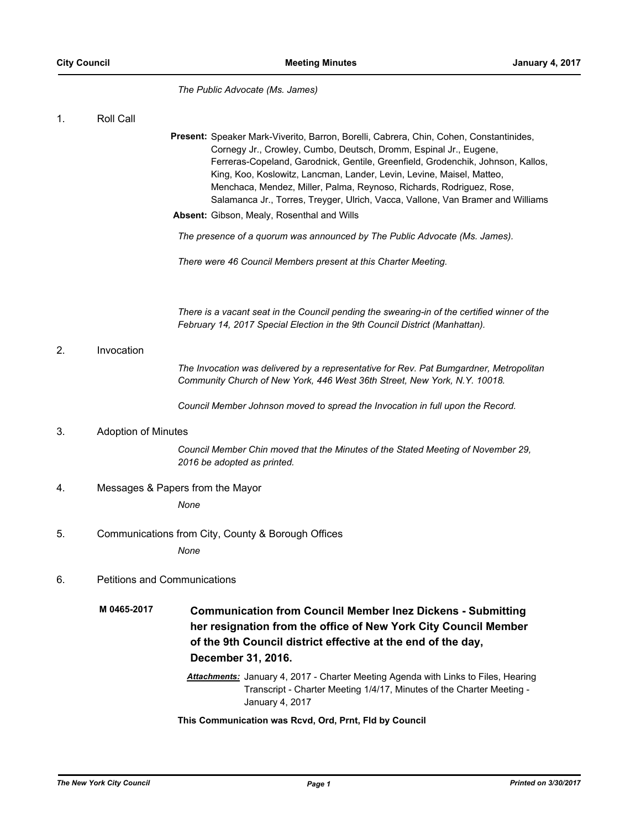*The Public Advocate (Ms. James)*

### 1. Roll Call

Present: Speaker Mark-Viverito, Barron, Borelli, Cabrera, Chin, Cohen, Constantinides, Cornegy Jr., Crowley, Cumbo, Deutsch, Dromm, Espinal Jr., Eugene, Ferreras-Copeland, Garodnick, Gentile, Greenfield, Grodenchik, Johnson, Kallos, King, Koo, Koslowitz, Lancman, Lander, Levin, Levine, Maisel, Matteo, Menchaca, Mendez, Miller, Palma, Reynoso, Richards, Rodriguez, Rose, Salamanca Jr., Torres, Treyger, Ulrich, Vacca, Vallone, Van Bramer and Williams **Absent:** Gibson, Mealy, Rosenthal and Wills

*The presence of a quorum was announced by The Public Advocate (Ms. James).*

*There were 46 Council Members present at this Charter Meeting.*

*There is a vacant seat in the Council pending the swearing-in of the certified winner of the February 14, 2017 Special Election in the 9th Council District (Manhattan).*

#### 2. Invocation

*The Invocation was delivered by a representative for Rev. Pat Bumgardner, Metropolitan Community Church of New York, 446 West 36th Street, New York, N.Y. 10018.*

*Council Member Johnson moved to spread the Invocation in full upon the Record.*

## 3. Adoption of Minutes

*Council Member Chin moved that the Minutes of the Stated Meeting of November 29, 2016 be adopted as printed.*

## 4. Messages & Papers from the Mayor

*None*

5. Communications from City, County & Borough Offices *None*

## 6. Petitions and Communications

- **Communication from Council Member Inez Dickens Submitting her resignation from the office of New York City Council Member of the 9th Council district effective at the end of the day, December 31, 2016. M 0465-2017**
	- *Attachments:* January 4, 2017 Charter Meeting Agenda with Links to Files, Hearing Transcript - Charter Meeting 1/4/17, Minutes of the Charter Meeting - January 4, 2017

**This Communication was Rcvd, Ord, Prnt, Fld by Council**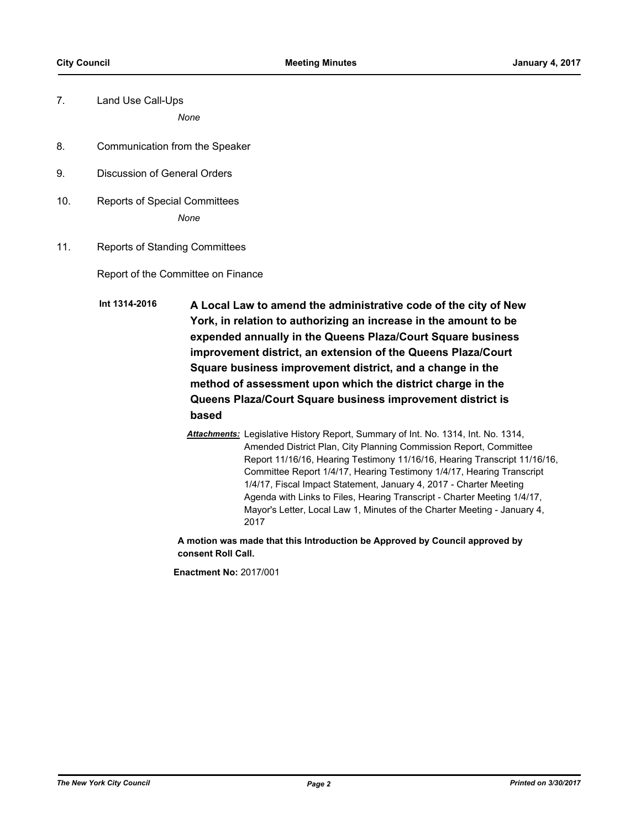7. Land Use Call-Ups

*None*

- 8. Communication from the Speaker
- 9. Discussion of General Orders
- 10. Reports of Special Committees *None*
- 11. Reports of Standing Committees

Report of the Committee on Finance

**A Local Law to amend the administrative code of the city of New York, in relation to authorizing an increase in the amount to be expended annually in the Queens Plaza/Court Square business improvement district, an extension of the Queens Plaza/Court Square business improvement district, and a change in the method of assessment upon which the district charge in the Queens Plaza/Court Square business improvement district is based Int 1314-2016**

> *Attachments:* Legislative History Report, Summary of Int. No. 1314, Int. No. 1314, Amended District Plan, City Planning Commission Report, Committee Report 11/16/16, Hearing Testimony 11/16/16, Hearing Transcript 11/16/16, Committee Report 1/4/17, Hearing Testimony 1/4/17, Hearing Transcript 1/4/17, Fiscal Impact Statement, January 4, 2017 - Charter Meeting Agenda with Links to Files, Hearing Transcript - Charter Meeting 1/4/17, Mayor's Letter, Local Law 1, Minutes of the Charter Meeting - January 4, 2017

**A motion was made that this Introduction be Approved by Council approved by consent Roll Call.**

**Enactment No:** 2017/001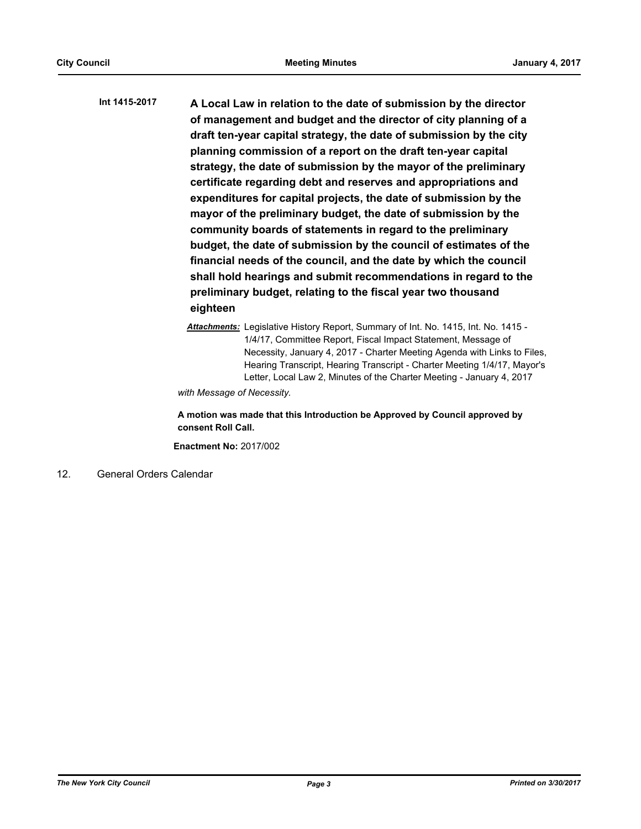**A Local Law in relation to the date of submission by the director of management and budget and the director of city planning of a draft ten-year capital strategy, the date of submission by the city planning commission of a report on the draft ten-year capital strategy, the date of submission by the mayor of the preliminary certificate regarding debt and reserves and appropriations and expenditures for capital projects, the date of submission by the mayor of the preliminary budget, the date of submission by the community boards of statements in regard to the preliminary budget, the date of submission by the council of estimates of the financial needs of the council, and the date by which the council shall hold hearings and submit recommendations in regard to the preliminary budget, relating to the fiscal year two thousand eighteen Int 1415-2017**

> *Attachments:* Legislative History Report, Summary of Int. No. 1415, Int. No. 1415 - 1/4/17, Committee Report, Fiscal Impact Statement, Message of Necessity, January 4, 2017 - Charter Meeting Agenda with Links to Files, Hearing Transcript, Hearing Transcript - Charter Meeting 1/4/17, Mayor's Letter, Local Law 2, Minutes of the Charter Meeting - January 4, 2017

*with Message of Necessity.*

**A motion was made that this Introduction be Approved by Council approved by consent Roll Call.**

**Enactment No:** 2017/002

12. General Orders Calendar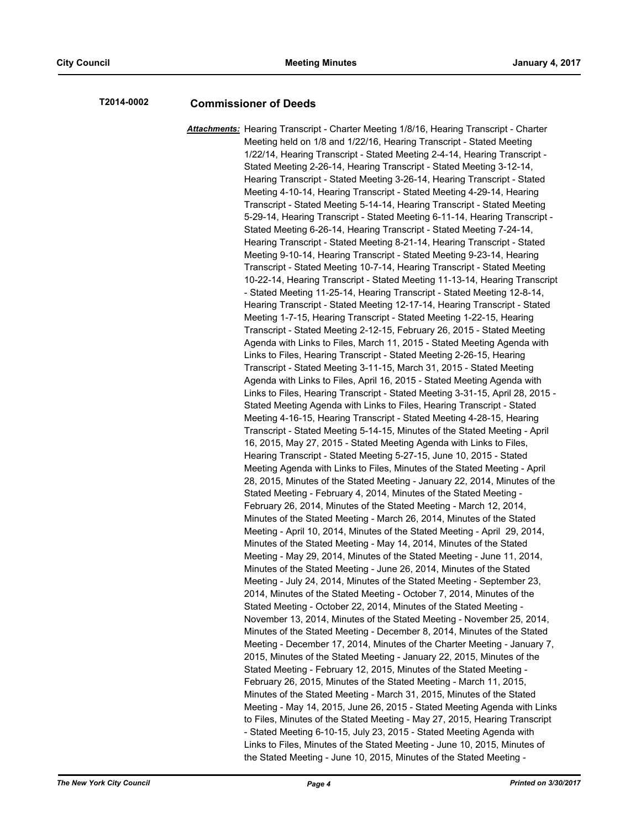## **T2014-0002 Commissioner of Deeds**

*Attachments:* Hearing Transcript - Charter Meeting 1/8/16, Hearing Transcript - Charter Meeting held on 1/8 and 1/22/16, Hearing Transcript - Stated Meeting 1/22/14, Hearing Transcript - Stated Meeting 2-4-14, Hearing Transcript - Stated Meeting 2-26-14, Hearing Transcript - Stated Meeting 3-12-14, Hearing Transcript - Stated Meeting 3-26-14, Hearing Transcript - Stated Meeting 4-10-14, Hearing Transcript - Stated Meeting 4-29-14, Hearing Transcript - Stated Meeting 5-14-14, Hearing Transcript - Stated Meeting 5-29-14, Hearing Transcript - Stated Meeting 6-11-14, Hearing Transcript - Stated Meeting 6-26-14, Hearing Transcript - Stated Meeting 7-24-14, Hearing Transcript - Stated Meeting 8-21-14, Hearing Transcript - Stated Meeting 9-10-14, Hearing Transcript - Stated Meeting 9-23-14, Hearing Transcript - Stated Meeting 10-7-14, Hearing Transcript - Stated Meeting 10-22-14, Hearing Transcript - Stated Meeting 11-13-14, Hearing Transcript - Stated Meeting 11-25-14, Hearing Transcript - Stated Meeting 12-8-14, Hearing Transcript - Stated Meeting 12-17-14, Hearing Transcript - Stated Meeting 1-7-15, Hearing Transcript - Stated Meeting 1-22-15, Hearing Transcript - Stated Meeting 2-12-15, February 26, 2015 - Stated Meeting Agenda with Links to Files, March 11, 2015 - Stated Meeting Agenda with Links to Files, Hearing Transcript - Stated Meeting 2-26-15, Hearing Transcript - Stated Meeting 3-11-15, March 31, 2015 - Stated Meeting Agenda with Links to Files, April 16, 2015 - Stated Meeting Agenda with Links to Files, Hearing Transcript - Stated Meeting 3-31-15, April 28, 2015 - Stated Meeting Agenda with Links to Files, Hearing Transcript - Stated Meeting 4-16-15, Hearing Transcript - Stated Meeting 4-28-15, Hearing Transcript - Stated Meeting 5-14-15, Minutes of the Stated Meeting - April 16, 2015, May 27, 2015 - Stated Meeting Agenda with Links to Files, Hearing Transcript - Stated Meeting 5-27-15, June 10, 2015 - Stated Meeting Agenda with Links to Files, Minutes of the Stated Meeting - April 28, 2015, Minutes of the Stated Meeting - January 22, 2014, Minutes of the Stated Meeting - February 4, 2014, Minutes of the Stated Meeting - February 26, 2014, Minutes of the Stated Meeting - March 12, 2014, Minutes of the Stated Meeting - March 26, 2014, Minutes of the Stated Meeting - April 10, 2014, Minutes of the Stated Meeting - April 29, 2014, Minutes of the Stated Meeting - May 14, 2014, Minutes of the Stated Meeting - May 29, 2014, Minutes of the Stated Meeting - June 11, 2014, Minutes of the Stated Meeting - June 26, 2014, Minutes of the Stated Meeting - July 24, 2014, Minutes of the Stated Meeting - September 23, 2014, Minutes of the Stated Meeting - October 7, 2014, Minutes of the Stated Meeting - October 22, 2014, Minutes of the Stated Meeting - November 13, 2014, Minutes of the Stated Meeting - November 25, 2014, Minutes of the Stated Meeting - December 8, 2014, Minutes of the Stated Meeting - December 17, 2014, Minutes of the Charter Meeting - January 7, 2015, Minutes of the Stated Meeting - January 22, 2015, Minutes of the Stated Meeting - February 12, 2015, Minutes of the Stated Meeting - February 26, 2015, Minutes of the Stated Meeting - March 11, 2015, Minutes of the Stated Meeting - March 31, 2015, Minutes of the Stated Meeting - May 14, 2015, June 26, 2015 - Stated Meeting Agenda with Links to Files, Minutes of the Stated Meeting - May 27, 2015, Hearing Transcript - Stated Meeting 6-10-15, July 23, 2015 - Stated Meeting Agenda with Links to Files, Minutes of the Stated Meeting - June 10, 2015, Minutes of the Stated Meeting - June 10, 2015, Minutes of the Stated Meeting -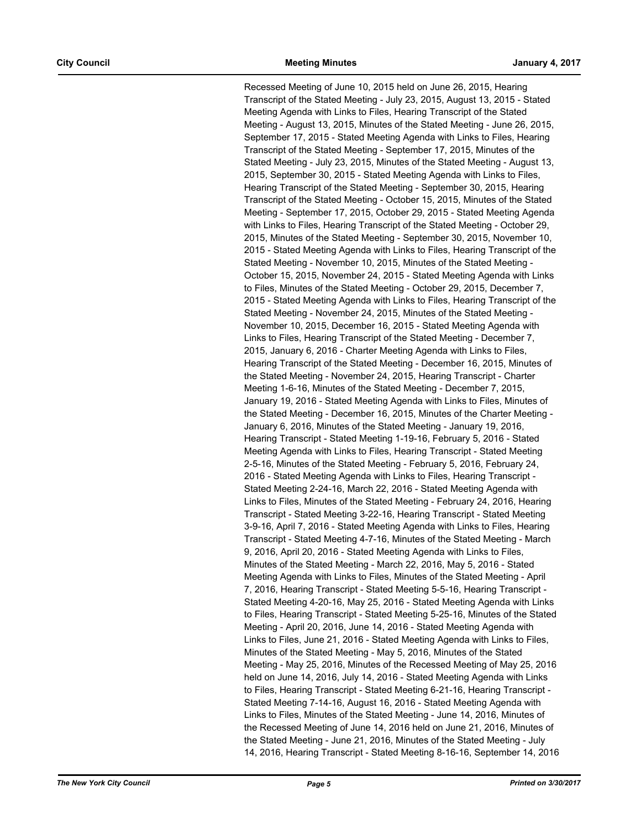Recessed Meeting of June 10, 2015 held on June 26, 2015, Hearing Transcript of the Stated Meeting - July 23, 2015, August 13, 2015 - Stated Meeting Agenda with Links to Files, Hearing Transcript of the Stated Meeting - August 13, 2015, Minutes of the Stated Meeting - June 26, 2015, September 17, 2015 - Stated Meeting Agenda with Links to Files, Hearing Transcript of the Stated Meeting - September 17, 2015, Minutes of the Stated Meeting - July 23, 2015, Minutes of the Stated Meeting - August 13, 2015, September 30, 2015 - Stated Meeting Agenda with Links to Files, Hearing Transcript of the Stated Meeting - September 30, 2015, Hearing Transcript of the Stated Meeting - October 15, 2015, Minutes of the Stated Meeting - September 17, 2015, October 29, 2015 - Stated Meeting Agenda with Links to Files, Hearing Transcript of the Stated Meeting - October 29, 2015, Minutes of the Stated Meeting - September 30, 2015, November 10, 2015 - Stated Meeting Agenda with Links to Files, Hearing Transcript of the Stated Meeting - November 10, 2015, Minutes of the Stated Meeting - October 15, 2015, November 24, 2015 - Stated Meeting Agenda with Links to Files, Minutes of the Stated Meeting - October 29, 2015, December 7, 2015 - Stated Meeting Agenda with Links to Files, Hearing Transcript of the Stated Meeting - November 24, 2015, Minutes of the Stated Meeting - November 10, 2015, December 16, 2015 - Stated Meeting Agenda with Links to Files, Hearing Transcript of the Stated Meeting - December 7, 2015, January 6, 2016 - Charter Meeting Agenda with Links to Files, Hearing Transcript of the Stated Meeting - December 16, 2015, Minutes of the Stated Meeting - November 24, 2015, Hearing Transcript - Charter Meeting 1-6-16, Minutes of the Stated Meeting - December 7, 2015, January 19, 2016 - Stated Meeting Agenda with Links to Files, Minutes of the Stated Meeting - December 16, 2015, Minutes of the Charter Meeting - January 6, 2016, Minutes of the Stated Meeting - January 19, 2016, Hearing Transcript - Stated Meeting 1-19-16, February 5, 2016 - Stated Meeting Agenda with Links to Files, Hearing Transcript - Stated Meeting 2-5-16, Minutes of the Stated Meeting - February 5, 2016, February 24, 2016 - Stated Meeting Agenda with Links to Files, Hearing Transcript - Stated Meeting 2-24-16, March 22, 2016 - Stated Meeting Agenda with Links to Files, Minutes of the Stated Meeting - February 24, 2016, Hearing Transcript - Stated Meeting 3-22-16, Hearing Transcript - Stated Meeting 3-9-16, April 7, 2016 - Stated Meeting Agenda with Links to Files, Hearing Transcript - Stated Meeting 4-7-16, Minutes of the Stated Meeting - March 9, 2016, April 20, 2016 - Stated Meeting Agenda with Links to Files, Minutes of the Stated Meeting - March 22, 2016, May 5, 2016 - Stated Meeting Agenda with Links to Files, Minutes of the Stated Meeting - April 7, 2016, Hearing Transcript - Stated Meeting 5-5-16, Hearing Transcript - Stated Meeting 4-20-16, May 25, 2016 - Stated Meeting Agenda with Links to Files, Hearing Transcript - Stated Meeting 5-25-16, Minutes of the Stated Meeting - April 20, 2016, June 14, 2016 - Stated Meeting Agenda with Links to Files, June 21, 2016 - Stated Meeting Agenda with Links to Files, Minutes of the Stated Meeting - May 5, 2016, Minutes of the Stated Meeting - May 25, 2016, Minutes of the Recessed Meeting of May 25, 2016 held on June 14, 2016, July 14, 2016 - Stated Meeting Agenda with Links to Files, Hearing Transcript - Stated Meeting 6-21-16, Hearing Transcript - Stated Meeting 7-14-16, August 16, 2016 - Stated Meeting Agenda with Links to Files, Minutes of the Stated Meeting - June 14, 2016, Minutes of the Recessed Meeting of June 14, 2016 held on June 21, 2016, Minutes of the Stated Meeting - June 21, 2016, Minutes of the Stated Meeting - July 14, 2016, Hearing Transcript - Stated Meeting 8-16-16, September 14, 2016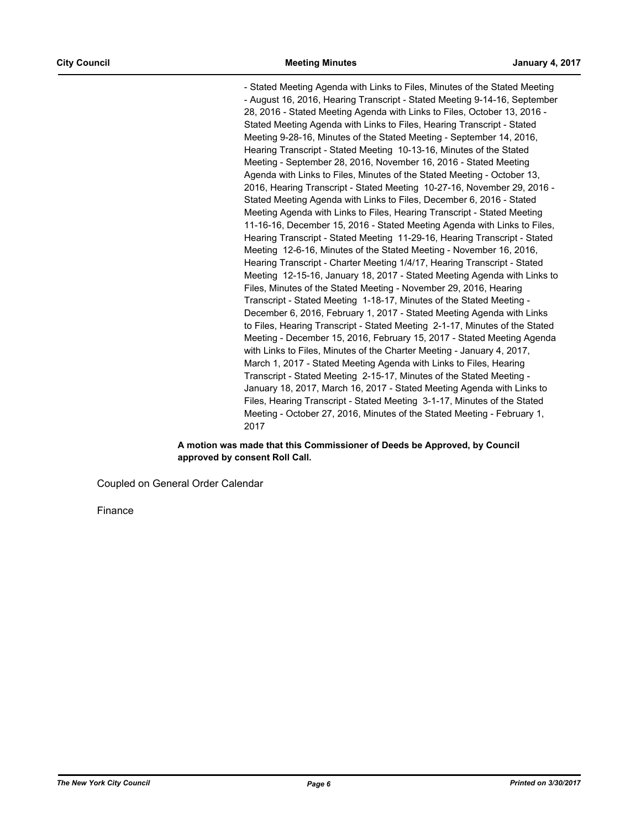- Stated Meeting Agenda with Links to Files, Minutes of the Stated Meeting - August 16, 2016, Hearing Transcript - Stated Meeting 9-14-16, September 28, 2016 - Stated Meeting Agenda with Links to Files, October 13, 2016 - Stated Meeting Agenda with Links to Files, Hearing Transcript - Stated Meeting 9-28-16, Minutes of the Stated Meeting - September 14, 2016, Hearing Transcript - Stated Meeting 10-13-16, Minutes of the Stated Meeting - September 28, 2016, November 16, 2016 - Stated Meeting Agenda with Links to Files, Minutes of the Stated Meeting - October 13, 2016, Hearing Transcript - Stated Meeting 10-27-16, November 29, 2016 - Stated Meeting Agenda with Links to Files, December 6, 2016 - Stated Meeting Agenda with Links to Files, Hearing Transcript - Stated Meeting 11-16-16, December 15, 2016 - Stated Meeting Agenda with Links to Files, Hearing Transcript - Stated Meeting 11-29-16, Hearing Transcript - Stated Meeting 12-6-16, Minutes of the Stated Meeting - November 16, 2016, Hearing Transcript - Charter Meeting 1/4/17, Hearing Transcript - Stated Meeting 12-15-16, January 18, 2017 - Stated Meeting Agenda with Links to Files, Minutes of the Stated Meeting - November 29, 2016, Hearing Transcript - Stated Meeting 1-18-17, Minutes of the Stated Meeting - December 6, 2016, February 1, 2017 - Stated Meeting Agenda with Links to Files, Hearing Transcript - Stated Meeting 2-1-17, Minutes of the Stated Meeting - December 15, 2016, February 15, 2017 - Stated Meeting Agenda with Links to Files, Minutes of the Charter Meeting - January 4, 2017, March 1, 2017 - Stated Meeting Agenda with Links to Files, Hearing Transcript - Stated Meeting 2-15-17, Minutes of the Stated Meeting - January 18, 2017, March 16, 2017 - Stated Meeting Agenda with Links to Files, Hearing Transcript - Stated Meeting 3-1-17, Minutes of the Stated Meeting - October 27, 2016, Minutes of the Stated Meeting - February 1, 2017

#### **A motion was made that this Commissioner of Deeds be Approved, by Council approved by consent Roll Call.**

Coupled on General Order Calendar

Finance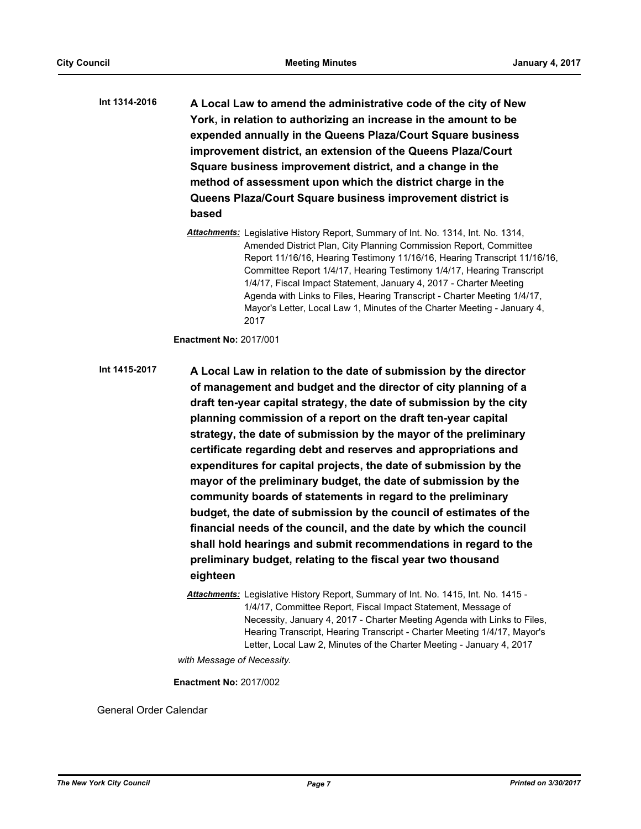**A Local Law to amend the administrative code of the city of New York, in relation to authorizing an increase in the amount to be expended annually in the Queens Plaza/Court Square business improvement district, an extension of the Queens Plaza/Court Square business improvement district, and a change in the method of assessment upon which the district charge in the Queens Plaza/Court Square business improvement district is based Int 1314-2016**

> *Attachments:* Legislative History Report, Summary of Int. No. 1314, Int. No. 1314, Amended District Plan, City Planning Commission Report, Committee Report 11/16/16, Hearing Testimony 11/16/16, Hearing Transcript 11/16/16, Committee Report 1/4/17, Hearing Testimony 1/4/17, Hearing Transcript 1/4/17, Fiscal Impact Statement, January 4, 2017 - Charter Meeting Agenda with Links to Files, Hearing Transcript - Charter Meeting 1/4/17, Mayor's Letter, Local Law 1, Minutes of the Charter Meeting - January 4, 2017

**Enactment No:** 2017/001

**A Local Law in relation to the date of submission by the director of management and budget and the director of city planning of a draft ten-year capital strategy, the date of submission by the city planning commission of a report on the draft ten-year capital strategy, the date of submission by the mayor of the preliminary certificate regarding debt and reserves and appropriations and expenditures for capital projects, the date of submission by the mayor of the preliminary budget, the date of submission by the community boards of statements in regard to the preliminary budget, the date of submission by the council of estimates of the financial needs of the council, and the date by which the council shall hold hearings and submit recommendations in regard to the preliminary budget, relating to the fiscal year two thousand eighteen Int 1415-2017**

> *Attachments:* Legislative History Report, Summary of Int. No. 1415, Int. No. 1415 - 1/4/17, Committee Report, Fiscal Impact Statement, Message of Necessity, January 4, 2017 - Charter Meeting Agenda with Links to Files, Hearing Transcript, Hearing Transcript - Charter Meeting 1/4/17, Mayor's Letter, Local Law 2, Minutes of the Charter Meeting - January 4, 2017

*with Message of Necessity.*

**Enactment No:** 2017/002

General Order Calendar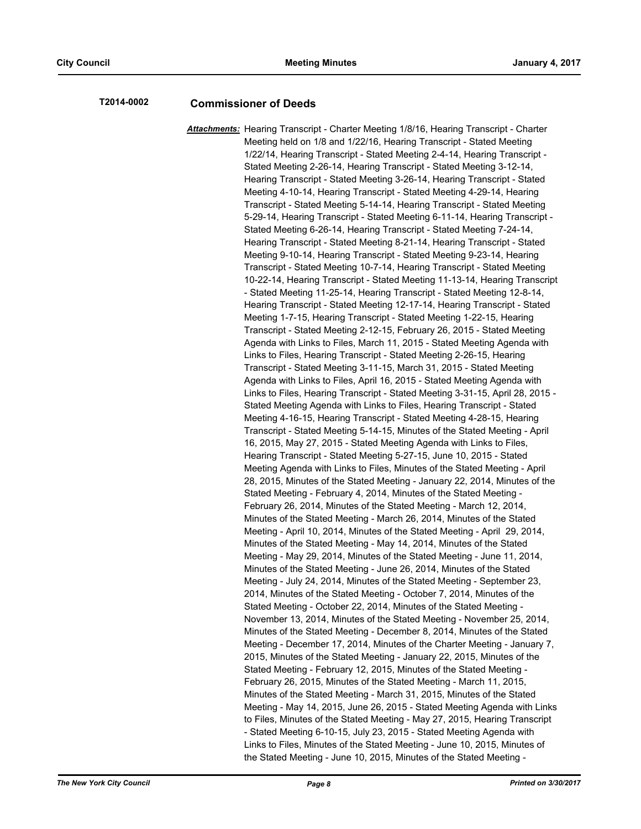## **T2014-0002 Commissioner of Deeds**

*Attachments:* Hearing Transcript - Charter Meeting 1/8/16, Hearing Transcript - Charter Meeting held on 1/8 and 1/22/16, Hearing Transcript - Stated Meeting 1/22/14, Hearing Transcript - Stated Meeting 2-4-14, Hearing Transcript - Stated Meeting 2-26-14, Hearing Transcript - Stated Meeting 3-12-14, Hearing Transcript - Stated Meeting 3-26-14, Hearing Transcript - Stated Meeting 4-10-14, Hearing Transcript - Stated Meeting 4-29-14, Hearing Transcript - Stated Meeting 5-14-14, Hearing Transcript - Stated Meeting 5-29-14, Hearing Transcript - Stated Meeting 6-11-14, Hearing Transcript - Stated Meeting 6-26-14, Hearing Transcript - Stated Meeting 7-24-14, Hearing Transcript - Stated Meeting 8-21-14, Hearing Transcript - Stated Meeting 9-10-14, Hearing Transcript - Stated Meeting 9-23-14, Hearing Transcript - Stated Meeting 10-7-14, Hearing Transcript - Stated Meeting 10-22-14, Hearing Transcript - Stated Meeting 11-13-14, Hearing Transcript - Stated Meeting 11-25-14, Hearing Transcript - Stated Meeting 12-8-14, Hearing Transcript - Stated Meeting 12-17-14, Hearing Transcript - Stated Meeting 1-7-15, Hearing Transcript - Stated Meeting 1-22-15, Hearing Transcript - Stated Meeting 2-12-15, February 26, 2015 - Stated Meeting Agenda with Links to Files, March 11, 2015 - Stated Meeting Agenda with Links to Files, Hearing Transcript - Stated Meeting 2-26-15, Hearing Transcript - Stated Meeting 3-11-15, March 31, 2015 - Stated Meeting Agenda with Links to Files, April 16, 2015 - Stated Meeting Agenda with Links to Files, Hearing Transcript - Stated Meeting 3-31-15, April 28, 2015 - Stated Meeting Agenda with Links to Files, Hearing Transcript - Stated Meeting 4-16-15, Hearing Transcript - Stated Meeting 4-28-15, Hearing Transcript - Stated Meeting 5-14-15, Minutes of the Stated Meeting - April 16, 2015, May 27, 2015 - Stated Meeting Agenda with Links to Files, Hearing Transcript - Stated Meeting 5-27-15, June 10, 2015 - Stated Meeting Agenda with Links to Files, Minutes of the Stated Meeting - April 28, 2015, Minutes of the Stated Meeting - January 22, 2014, Minutes of the Stated Meeting - February 4, 2014, Minutes of the Stated Meeting - February 26, 2014, Minutes of the Stated Meeting - March 12, 2014, Minutes of the Stated Meeting - March 26, 2014, Minutes of the Stated Meeting - April 10, 2014, Minutes of the Stated Meeting - April 29, 2014, Minutes of the Stated Meeting - May 14, 2014, Minutes of the Stated Meeting - May 29, 2014, Minutes of the Stated Meeting - June 11, 2014, Minutes of the Stated Meeting - June 26, 2014, Minutes of the Stated Meeting - July 24, 2014, Minutes of the Stated Meeting - September 23, 2014, Minutes of the Stated Meeting - October 7, 2014, Minutes of the Stated Meeting - October 22, 2014, Minutes of the Stated Meeting - November 13, 2014, Minutes of the Stated Meeting - November 25, 2014, Minutes of the Stated Meeting - December 8, 2014, Minutes of the Stated Meeting - December 17, 2014, Minutes of the Charter Meeting - January 7, 2015, Minutes of the Stated Meeting - January 22, 2015, Minutes of the Stated Meeting - February 12, 2015, Minutes of the Stated Meeting - February 26, 2015, Minutes of the Stated Meeting - March 11, 2015, Minutes of the Stated Meeting - March 31, 2015, Minutes of the Stated Meeting - May 14, 2015, June 26, 2015 - Stated Meeting Agenda with Links to Files, Minutes of the Stated Meeting - May 27, 2015, Hearing Transcript - Stated Meeting 6-10-15, July 23, 2015 - Stated Meeting Agenda with Links to Files, Minutes of the Stated Meeting - June 10, 2015, Minutes of the Stated Meeting - June 10, 2015, Minutes of the Stated Meeting -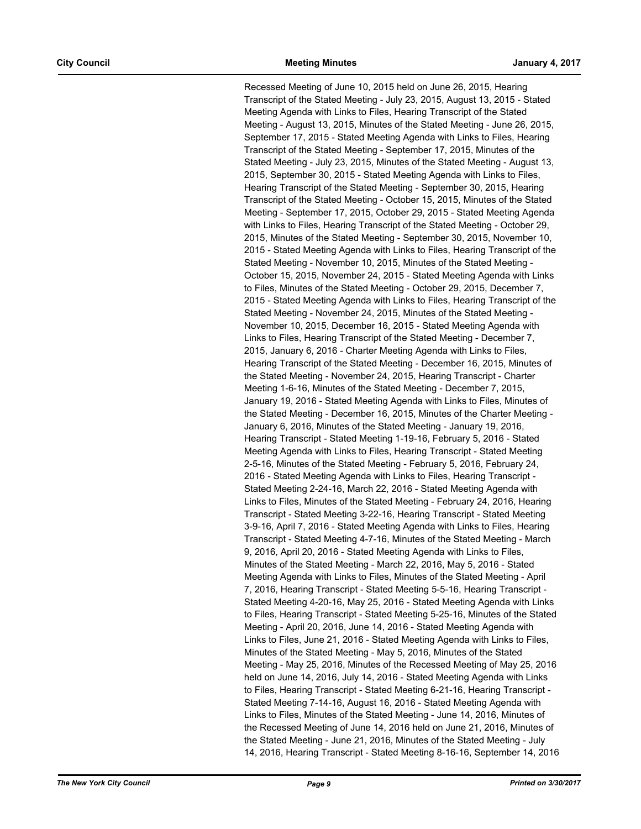Recessed Meeting of June 10, 2015 held on June 26, 2015, Hearing Transcript of the Stated Meeting - July 23, 2015, August 13, 2015 - Stated Meeting Agenda with Links to Files, Hearing Transcript of the Stated Meeting - August 13, 2015, Minutes of the Stated Meeting - June 26, 2015, September 17, 2015 - Stated Meeting Agenda with Links to Files, Hearing Transcript of the Stated Meeting - September 17, 2015, Minutes of the Stated Meeting - July 23, 2015, Minutes of the Stated Meeting - August 13, 2015, September 30, 2015 - Stated Meeting Agenda with Links to Files, Hearing Transcript of the Stated Meeting - September 30, 2015, Hearing Transcript of the Stated Meeting - October 15, 2015, Minutes of the Stated Meeting - September 17, 2015, October 29, 2015 - Stated Meeting Agenda with Links to Files, Hearing Transcript of the Stated Meeting - October 29, 2015, Minutes of the Stated Meeting - September 30, 2015, November 10, 2015 - Stated Meeting Agenda with Links to Files, Hearing Transcript of the Stated Meeting - November 10, 2015, Minutes of the Stated Meeting - October 15, 2015, November 24, 2015 - Stated Meeting Agenda with Links to Files, Minutes of the Stated Meeting - October 29, 2015, December 7, 2015 - Stated Meeting Agenda with Links to Files, Hearing Transcript of the Stated Meeting - November 24, 2015, Minutes of the Stated Meeting - November 10, 2015, December 16, 2015 - Stated Meeting Agenda with Links to Files, Hearing Transcript of the Stated Meeting - December 7, 2015, January 6, 2016 - Charter Meeting Agenda with Links to Files, Hearing Transcript of the Stated Meeting - December 16, 2015, Minutes of the Stated Meeting - November 24, 2015, Hearing Transcript - Charter Meeting 1-6-16, Minutes of the Stated Meeting - December 7, 2015, January 19, 2016 - Stated Meeting Agenda with Links to Files, Minutes of the Stated Meeting - December 16, 2015, Minutes of the Charter Meeting - January 6, 2016, Minutes of the Stated Meeting - January 19, 2016, Hearing Transcript - Stated Meeting 1-19-16, February 5, 2016 - Stated Meeting Agenda with Links to Files, Hearing Transcript - Stated Meeting 2-5-16, Minutes of the Stated Meeting - February 5, 2016, February 24, 2016 - Stated Meeting Agenda with Links to Files, Hearing Transcript - Stated Meeting 2-24-16, March 22, 2016 - Stated Meeting Agenda with Links to Files, Minutes of the Stated Meeting - February 24, 2016, Hearing Transcript - Stated Meeting 3-22-16, Hearing Transcript - Stated Meeting 3-9-16, April 7, 2016 - Stated Meeting Agenda with Links to Files, Hearing Transcript - Stated Meeting 4-7-16, Minutes of the Stated Meeting - March 9, 2016, April 20, 2016 - Stated Meeting Agenda with Links to Files, Minutes of the Stated Meeting - March 22, 2016, May 5, 2016 - Stated Meeting Agenda with Links to Files, Minutes of the Stated Meeting - April 7, 2016, Hearing Transcript - Stated Meeting 5-5-16, Hearing Transcript - Stated Meeting 4-20-16, May 25, 2016 - Stated Meeting Agenda with Links to Files, Hearing Transcript - Stated Meeting 5-25-16, Minutes of the Stated Meeting - April 20, 2016, June 14, 2016 - Stated Meeting Agenda with Links to Files, June 21, 2016 - Stated Meeting Agenda with Links to Files, Minutes of the Stated Meeting - May 5, 2016, Minutes of the Stated Meeting - May 25, 2016, Minutes of the Recessed Meeting of May 25, 2016 held on June 14, 2016, July 14, 2016 - Stated Meeting Agenda with Links to Files, Hearing Transcript - Stated Meeting 6-21-16, Hearing Transcript - Stated Meeting 7-14-16, August 16, 2016 - Stated Meeting Agenda with Links to Files, Minutes of the Stated Meeting - June 14, 2016, Minutes of the Recessed Meeting of June 14, 2016 held on June 21, 2016, Minutes of the Stated Meeting - June 21, 2016, Minutes of the Stated Meeting - July 14, 2016, Hearing Transcript - Stated Meeting 8-16-16, September 14, 2016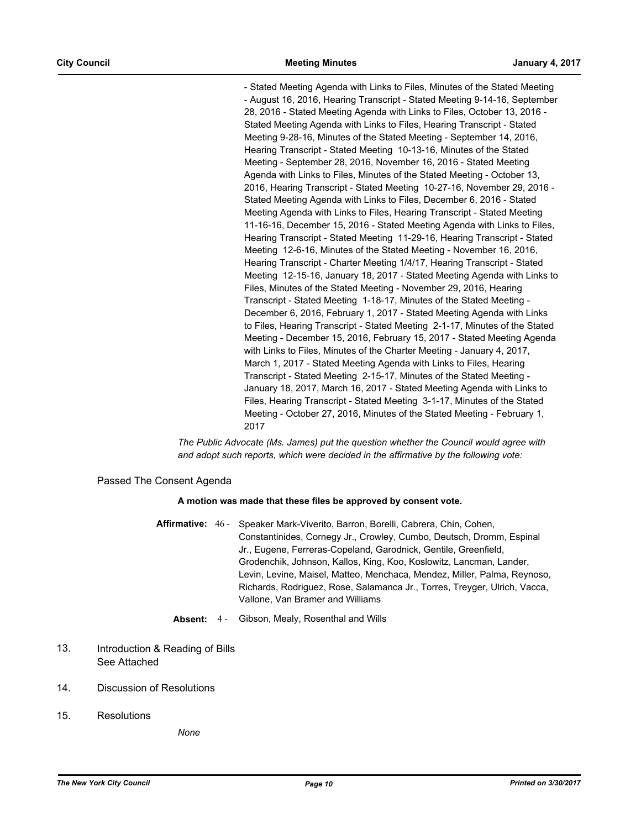- Stated Meeting Agenda with Links to Files, Minutes of the Stated Meeting - August 16, 2016, Hearing Transcript - Stated Meeting 9-14-16, September 28, 2016 - Stated Meeting Agenda with Links to Files, October 13, 2016 - Stated Meeting Agenda with Links to Files, Hearing Transcript - Stated Meeting 9-28-16, Minutes of the Stated Meeting - September 14, 2016, Hearing Transcript - Stated Meeting 10-13-16, Minutes of the Stated Meeting - September 28, 2016, November 16, 2016 - Stated Meeting Agenda with Links to Files, Minutes of the Stated Meeting - October 13, 2016, Hearing Transcript - Stated Meeting 10-27-16, November 29, 2016 - Stated Meeting Agenda with Links to Files, December 6, 2016 - Stated Meeting Agenda with Links to Files, Hearing Transcript - Stated Meeting 11-16-16, December 15, 2016 - Stated Meeting Agenda with Links to Files, Hearing Transcript - Stated Meeting 11-29-16, Hearing Transcript - Stated Meeting 12-6-16, Minutes of the Stated Meeting - November 16, 2016, Hearing Transcript - Charter Meeting 1/4/17, Hearing Transcript - Stated Meeting 12-15-16, January 18, 2017 - Stated Meeting Agenda with Links to Files, Minutes of the Stated Meeting - November 29, 2016, Hearing Transcript - Stated Meeting 1-18-17, Minutes of the Stated Meeting - December 6, 2016, February 1, 2017 - Stated Meeting Agenda with Links to Files, Hearing Transcript - Stated Meeting 2-1-17, Minutes of the Stated Meeting - December 15, 2016, February 15, 2017 - Stated Meeting Agenda with Links to Files, Minutes of the Charter Meeting - January 4, 2017, March 1, 2017 - Stated Meeting Agenda with Links to Files, Hearing Transcript - Stated Meeting 2-15-17, Minutes of the Stated Meeting - January 18, 2017, March 16, 2017 - Stated Meeting Agenda with Links to Files, Hearing Transcript - Stated Meeting 3-1-17, Minutes of the Stated Meeting - October 27, 2016, Minutes of the Stated Meeting - February 1, 2017

*The Public Advocate (Ms. James) put the question whether the Council would agree with and adopt such reports, which were decided in the affirmative by the following vote:*

#### Passed The Consent Agenda

#### **A motion was made that these files be approved by consent vote.**

- Affirmative: 46 Speaker Mark-Viverito, Barron, Borelli, Cabrera, Chin, Cohen, Constantinides, Cornegy Jr., Crowley, Cumbo, Deutsch, Dromm, Espinal Jr., Eugene, Ferreras-Copeland, Garodnick, Gentile, Greenfield, Grodenchik, Johnson, Kallos, King, Koo, Koslowitz, Lancman, Lander, Levin, Levine, Maisel, Matteo, Menchaca, Mendez, Miller, Palma, Reynoso, Richards, Rodriguez, Rose, Salamanca Jr., Torres, Treyger, Ulrich, Vacca, Vallone, Van Bramer and Williams
	- **Absent:** 4 Gibson, Mealy, Rosenthal and Wills

#### Introduction & Reading of Bills See Attached 13.

- 14. Discussion of Resolutions
- 15. Resolutions

*None*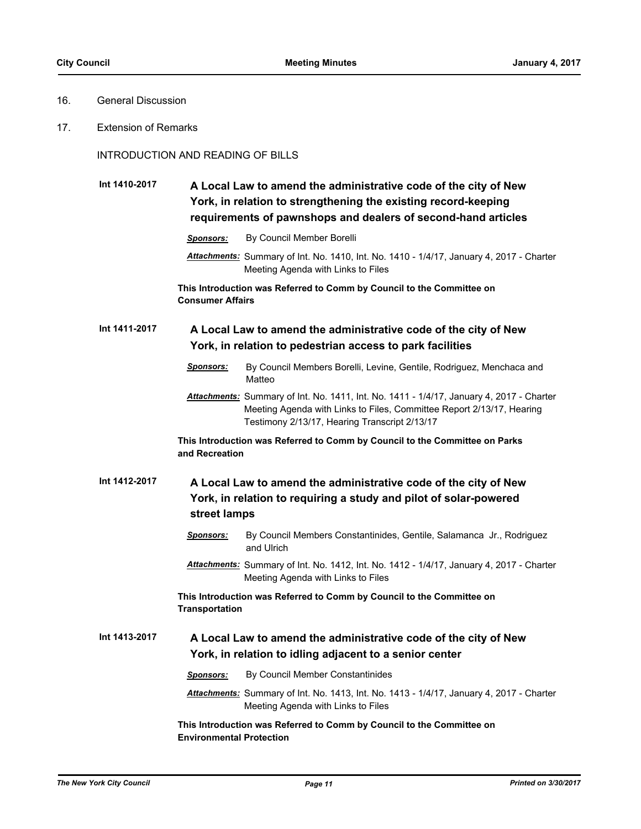## 16. General Discussion

17. Extension of Remarks

## INTRODUCTION AND READING OF BILLS

#### **A Local Law to amend the administrative code of the city of New York, in relation to strengthening the existing record-keeping requirements of pawnshops and dealers of second-hand articles Int 1410-2017**

- *Sponsors:* By Council Member Borelli
- *Attachments:* Summary of Int. No. 1410, Int. No. 1410 1/4/17, January 4, 2017 Charter Meeting Agenda with Links to Files

**This Introduction was Referred to Comm by Council to the Committee on Consumer Affairs**

#### **A Local Law to amend the administrative code of the city of New York, in relation to pedestrian access to park facilities Int 1411-2017**

- *Sponsors:* By Council Members Borelli, Levine, Gentile, Rodriguez, Menchaca and Matteo
- *Attachments:* Summary of Int. No. 1411, Int. No. 1411 1/4/17, January 4, 2017 Charter Meeting Agenda with Links to Files, Committee Report 2/13/17, Hearing Testimony 2/13/17, Hearing Transcript 2/13/17

**This Introduction was Referred to Comm by Council to the Committee on Parks and Recreation**

#### **A Local Law to amend the administrative code of the city of New York, in relation to requiring a study and pilot of solar-powered street lamps Int 1412-2017**

- *Sponsors:* By Council Members Constantinides, Gentile, Salamanca Jr., Rodriguez and Ulrich
- *Attachments:* Summary of Int. No. 1412, Int. No. 1412 1/4/17, January 4, 2017 Charter Meeting Agenda with Links to Files

## **This Introduction was Referred to Comm by Council to the Committee on Transportation**

#### **A Local Law to amend the administrative code of the city of New York, in relation to idling adjacent to a senior center Int 1413-2017**

*Sponsors:* By Council Member Constantinides

*Attachments:* Summary of Int. No. 1413, Int. No. 1413 - 1/4/17, January 4, 2017 - Charter Meeting Agenda with Links to Files

## **This Introduction was Referred to Comm by Council to the Committee on Environmental Protection**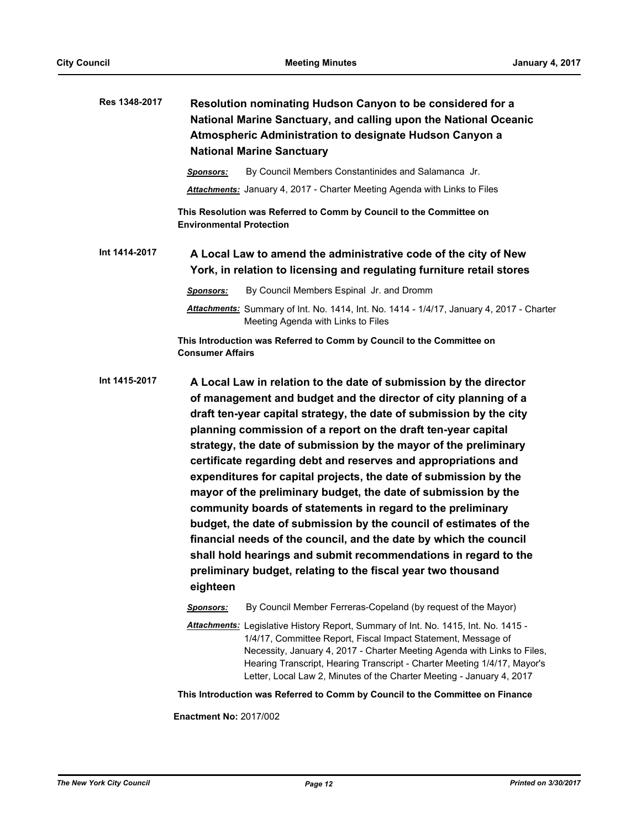| Res 1348-2017 | Resolution nominating Hudson Canyon to be considered for a<br>National Marine Sanctuary, and calling upon the National Oceanic<br>Atmospheric Administration to designate Hudson Canyon a<br><b>National Marine Sanctuary</b>                                                                                                                                                                                                                                                                                                                                                                                                                                                                                                                                                                                                                                                                                    |
|---------------|------------------------------------------------------------------------------------------------------------------------------------------------------------------------------------------------------------------------------------------------------------------------------------------------------------------------------------------------------------------------------------------------------------------------------------------------------------------------------------------------------------------------------------------------------------------------------------------------------------------------------------------------------------------------------------------------------------------------------------------------------------------------------------------------------------------------------------------------------------------------------------------------------------------|
|               | By Council Members Constantinides and Salamanca Jr.<br><b>Sponsors:</b>                                                                                                                                                                                                                                                                                                                                                                                                                                                                                                                                                                                                                                                                                                                                                                                                                                          |
|               | Attachments: January 4, 2017 - Charter Meeting Agenda with Links to Files                                                                                                                                                                                                                                                                                                                                                                                                                                                                                                                                                                                                                                                                                                                                                                                                                                        |
|               | This Resolution was Referred to Comm by Council to the Committee on<br><b>Environmental Protection</b>                                                                                                                                                                                                                                                                                                                                                                                                                                                                                                                                                                                                                                                                                                                                                                                                           |
| Int 1414-2017 | A Local Law to amend the administrative code of the city of New<br>York, in relation to licensing and regulating furniture retail stores                                                                                                                                                                                                                                                                                                                                                                                                                                                                                                                                                                                                                                                                                                                                                                         |
|               | By Council Members Espinal Jr. and Dromm<br>Sponsors:                                                                                                                                                                                                                                                                                                                                                                                                                                                                                                                                                                                                                                                                                                                                                                                                                                                            |
|               | Attachments: Summary of Int. No. 1414, Int. No. 1414 - 1/4/17, January 4, 2017 - Charter<br>Meeting Agenda with Links to Files                                                                                                                                                                                                                                                                                                                                                                                                                                                                                                                                                                                                                                                                                                                                                                                   |
|               | This Introduction was Referred to Comm by Council to the Committee on<br><b>Consumer Affairs</b>                                                                                                                                                                                                                                                                                                                                                                                                                                                                                                                                                                                                                                                                                                                                                                                                                 |
| Int 1415-2017 | A Local Law in relation to the date of submission by the director<br>of management and budget and the director of city planning of a<br>draft ten-year capital strategy, the date of submission by the city<br>planning commission of a report on the draft ten-year capital<br>strategy, the date of submission by the mayor of the preliminary<br>certificate regarding debt and reserves and appropriations and<br>expenditures for capital projects, the date of submission by the<br>mayor of the preliminary budget, the date of submission by the<br>community boards of statements in regard to the preliminary<br>budget, the date of submission by the council of estimates of the<br>financial needs of the council, and the date by which the council<br>shall hold hearings and submit recommendations in regard to the<br>preliminary budget, relating to the fiscal year two thousand<br>eighteen |
|               | By Council Member Ferreras-Copeland (by request of the Mayor)<br>Sponsors:                                                                                                                                                                                                                                                                                                                                                                                                                                                                                                                                                                                                                                                                                                                                                                                                                                       |
|               | Attachments: Legislative History Report, Summary of Int. No. 1415, Int. No. 1415 -<br>1/4/17, Committee Report, Fiscal Impact Statement, Message of<br>Necessity, January 4, 2017 - Charter Meeting Agenda with Links to Files,<br>Hearing Transcript, Hearing Transcript - Charter Meeting 1/4/17, Mayor's<br>Letter, Local Law 2, Minutes of the Charter Meeting - January 4, 2017                                                                                                                                                                                                                                                                                                                                                                                                                                                                                                                             |
|               | This Introduction was Referred to Comm by Council to the Committee on Finance                                                                                                                                                                                                                                                                                                                                                                                                                                                                                                                                                                                                                                                                                                                                                                                                                                    |

**Enactment No:** 2017/002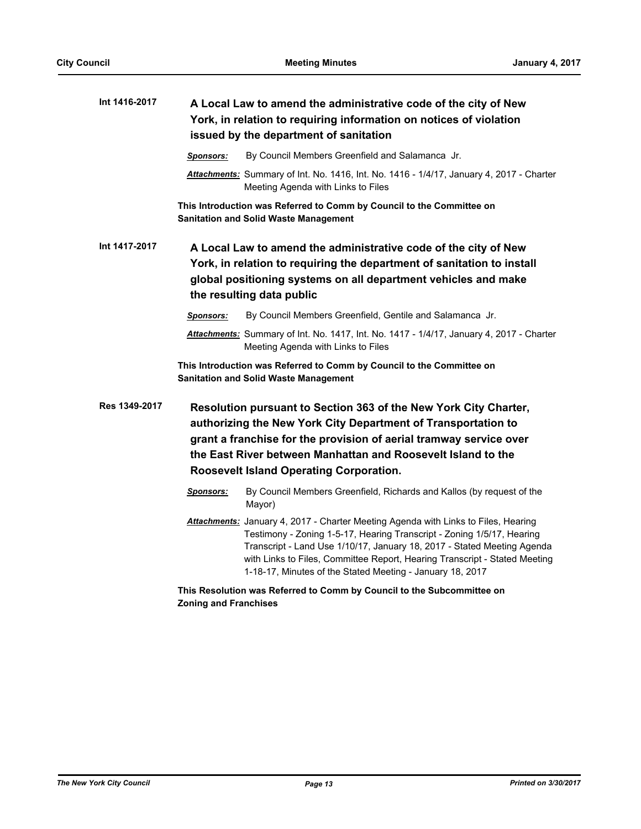| Int 1416-2017 | A Local Law to amend the administrative code of the city of New<br>York, in relation to requiring information on notices of violation<br>issued by the department of sanitation                                                                                                                                                                                                    |  |
|---------------|------------------------------------------------------------------------------------------------------------------------------------------------------------------------------------------------------------------------------------------------------------------------------------------------------------------------------------------------------------------------------------|--|
|               | By Council Members Greenfield and Salamanca Jr.<br><b>Sponsors:</b>                                                                                                                                                                                                                                                                                                                |  |
|               | Attachments: Summary of Int. No. 1416, Int. No. 1416 - 1/4/17, January 4, 2017 - Charter<br>Meeting Agenda with Links to Files                                                                                                                                                                                                                                                     |  |
|               | This Introduction was Referred to Comm by Council to the Committee on<br><b>Sanitation and Solid Waste Management</b>                                                                                                                                                                                                                                                              |  |
| Int 1417-2017 | A Local Law to amend the administrative code of the city of New<br>York, in relation to requiring the department of sanitation to install<br>global positioning systems on all department vehicles and make<br>the resulting data public                                                                                                                                           |  |
|               | By Council Members Greenfield, Gentile and Salamanca Jr.<br><b>Sponsors:</b>                                                                                                                                                                                                                                                                                                       |  |
|               | Attachments: Summary of Int. No. 1417, Int. No. 1417 - 1/4/17, January 4, 2017 - Charter<br>Meeting Agenda with Links to Files                                                                                                                                                                                                                                                     |  |
|               | This Introduction was Referred to Comm by Council to the Committee on<br><b>Sanitation and Solid Waste Management</b>                                                                                                                                                                                                                                                              |  |
| Res 1349-2017 | Resolution pursuant to Section 363 of the New York City Charter,<br>authorizing the New York City Department of Transportation to<br>grant a franchise for the provision of aerial tramway service over<br>the East River between Manhattan and Roosevelt Island to the<br>Roosevelt Island Operating Corporation.                                                                 |  |
|               | By Council Members Greenfield, Richards and Kallos (by request of the<br><u>Sponsors:</u><br>Mayor)                                                                                                                                                                                                                                                                                |  |
|               | Attachments: January 4, 2017 - Charter Meeting Agenda with Links to Files, Hearing<br>Testimony - Zoning 1-5-17, Hearing Transcript - Zoning 1/5/17, Hearing<br>Transcript - Land Use 1/10/17, January 18, 2017 - Stated Meeting Agenda<br>with Links to Files, Committee Report, Hearing Transcript - Stated Meeting<br>1-18-17, Minutes of the Stated Meeting - January 18, 2017 |  |
|               | This Resolution was Referred to Comm by Council to the Subcommittee on                                                                                                                                                                                                                                                                                                             |  |

**Zoning and Franchises**